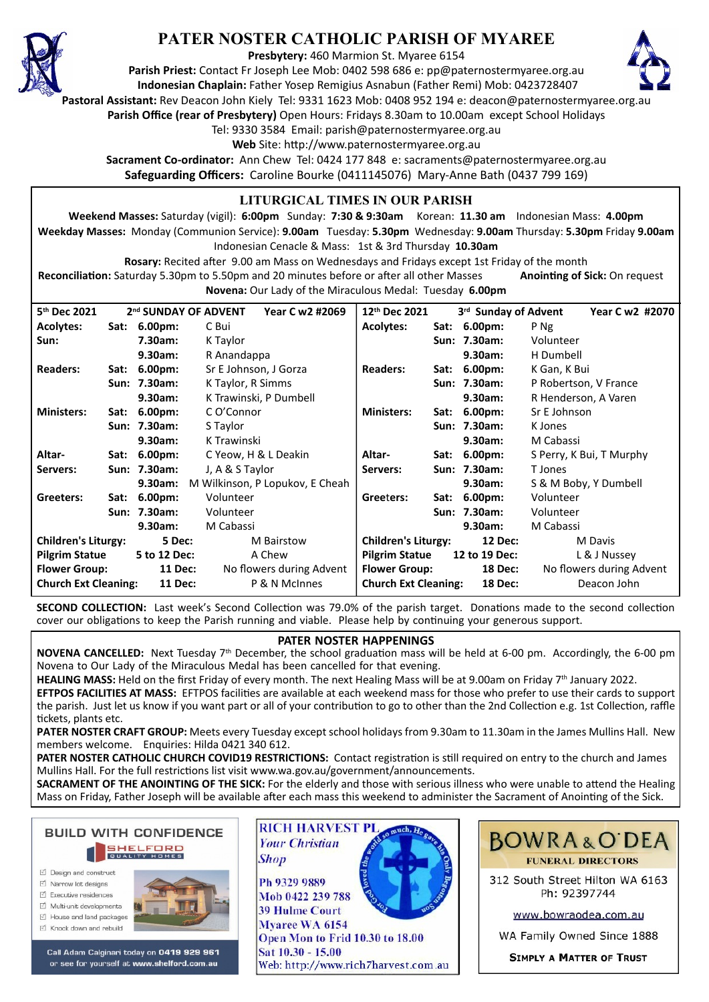

# **PATER NOSTER CATHOLIC PARISH OF MYAREE**

**Presbytery:** 460 Marmion St. Myaree 6154

**Parish Priest:** Contact Fr Joseph Lee Mob: 0402 598 686 e: pp@paternostermyaree.org.au **Indonesian Chaplain:** Father Yosep Remigius Asnabun (Father Remi) Mob: 0423728407



**Pastoral Assistant:** Rev Deacon John Kiely Tel: 9331 1623 Mob: 0408 952 194 e: deacon@paternostermyaree.org.au

**Parish Office (rear of Presbytery)** Open Hours: Fridays 8.30am to 10.00am except School Holidays

Tel: 9330 3584 Email: parish@paternostermyaree.org.au

Web Site: http://www.paternostermyaree.org.au

**Sacrament Co-ordinator:** Ann Chew Tel: 0424 177 848 e: sacraments@paternostermyaree.org.au **Safeguarding Officers:** Caroline Bourke (0411145076) Mary-Anne Bath (0437 799 169)

### **LITURGICAL TIMES IN OUR PARISH**

**Weekend Masses:** Saturday (vigil): **6:00pm** Sunday: **7:30 & 9:30am** Korean: **11.30 am** Indonesian Mass: **4.00pm Weekday Masses:** Monday (Communion Service): **9.00am** Tuesday: **5.30pm** Wednesday: **9.00am** Thursday: **5.30pm** Friday **9.00am** Indonesian Cenacle & Mass: 1st & 3rd Thursday **10.30am**

**Rosary:** Recited a�er 9.00 am Mass on Wednesdays and Fridays except 1st Friday of the month Reconciliation: Saturday 5.30pm to 5.50pm and 20 minutes before or after all other Masses **Anointing of Sick:** On request **Novena:** Our Lady of the Miraculous Medal: Tuesday **6.00pm**

| 5 <sup>th</sup> Dec 2021<br>2 <sup>nd</sup> SUNDAY OF ADVENT |                     |                      | Year C w2 #2069          | 12th Dec 2021                                |                                               | 3 <sup>rd</sup> Sunday of Advent |                          | Year C w2 #2070          |                       |
|--------------------------------------------------------------|---------------------|----------------------|--------------------------|----------------------------------------------|-----------------------------------------------|----------------------------------|--------------------------|--------------------------|-----------------------|
| <b>Acolytes:</b>                                             | Sat:                | 6.00 <sub>pm</sub>   | C Bui                    |                                              | <b>Acolytes:</b>                              | Sat:                             | 6.00 <sub>pm</sub>       | P Ng                     |                       |
| Sun:                                                         | 7.30am:<br>K Taylor |                      |                          |                                              |                                               | Sun: 7.30am:                     | Volunteer                |                          |                       |
|                                                              |                     | 9.30am:              | R Anandappa              |                                              |                                               |                                  | 9.30am:                  | H Dumbell                |                       |
| <b>Readers:</b>                                              | Sat:                | 6.00 <sub>pm</sub>   | Sr E Johnson, J Gorza    |                                              | <b>Readers:</b>                               |                                  | Sat: 6.00pm:             | K Gan, K Bui             |                       |
|                                                              |                     | Sun: 7.30am:         | K Taylor, R Simms        |                                              |                                               |                                  | Sun: 7.30am:             |                          | P Robertson, V France |
|                                                              |                     | 9.30am:              | K Trawinski, P Dumbell   |                                              | 9.30am:                                       |                                  | R Henderson, A Varen     |                          |                       |
| <b>Ministers:</b>                                            |                     | Sat: 6.00pm:         | C O'Connor               |                                              | <b>Ministers:</b>                             |                                  | Sat: 6.00pm:             | Sr E Johnson             |                       |
|                                                              |                     | Sun: 7.30am:         | S Taylor                 |                                              |                                               | Sun: 7.30am:                     |                          | K Jones                  |                       |
|                                                              |                     | 9.30am:              | K Trawinski              |                                              |                                               |                                  | 9.30am:                  | M Cabassi                |                       |
| Altar-                                                       |                     | Sat: 6.00pm:         | C Yeow, H & L Deakin     |                                              | Altar-                                        |                                  | Sat: 6.00pm:             | S Perry, K Bui, T Murphy |                       |
| Servers:                                                     |                     | Sun: 7.30am:         | J, A & S Taylor          |                                              | Servers:                                      |                                  | Sun: 7.30am:             | T Jones                  |                       |
| 9.30am:<br>M Wilkinson, P Lopukov, E Cheah                   |                     |                      |                          | 9.30am:<br>S & M Boby, Y Dumbell             |                                               |                                  |                          |                          |                       |
| Greeters:                                                    |                     | Sat: 6.00pm:         | Volunteer                |                                              | Greeters:                                     |                                  | Sat: 6.00pm:             | Volunteer                |                       |
|                                                              |                     | Sun: 7.30am:         | Volunteer                |                                              |                                               |                                  | Sun: 7.30am:             | Volunteer                |                       |
|                                                              |                     | 9.30am:              | M Cabassi                |                                              |                                               |                                  | 9.30am:                  | M Cabassi                |                       |
| <b>Children's Liturgy:</b>                                   |                     | 5 Dec:<br>M Bairstow |                          | <b>Children's Liturgy:</b><br><b>12 Dec:</b> |                                               | M Davis                          |                          |                          |                       |
| <b>Pilgrim Statue</b>                                        |                     | 5 to 12 Dec:         | A Chew                   |                                              | <b>Pilgrim Statue</b><br>12 to 19 Dec:        |                                  | L & J Nussey             |                          |                       |
| <b>Flower Group:</b>                                         |                     | <b>11 Dec:</b>       | No flowers during Advent |                                              | <b>Flower Group:</b><br><b>18 Dec:</b>        |                                  | No flowers during Advent |                          |                       |
| <b>Church Ext Cleaning:</b><br><b>11 Dec:</b>                |                     |                      | P & N McInnes            |                                              | <b>Church Ext Cleaning:</b><br><b>18 Dec:</b> |                                  |                          | Deacon John              |                       |

**SECOND COLLECTION:** Last week's Second Collection was 79.0% of the parish target. Donations made to the second collection cover our obligations to keep the Parish running and viable. Please help by continuing your generous support.

#### **PATER NOSTER HAPPENINGS**

**NOVENA CANCELLED:** Next Tuesday 7<sup>th</sup> December, the school graduation mass will be held at 6-00 pm. Accordingly, the 6-00 pm Novena to Our Lady of the Miraculous Medal has been cancelled for that evening.

HEALING MASS: Held on the first Friday of every month. The next Healing Mass will be at 9.00am on Friday 7<sup>th</sup> January 2022.

**EFTPOS FACILITIES AT MASS:** EFTPOS facili�es are available at each weekend mass for those who prefer to use their cards to support the parish. Just let us know if you want part or all of your contribution to go to other than the 2nd Collection e.g. 1st Collection, raffle �ckets, plants etc.

**PATER NOSTER CRAFT GROUP:** Meets every Tuesday except school holidays from 9.30am to 11.30am in the James Mullins Hall. New members welcome. Enquiries: Hilda 0421 340 612.

PATER NOSTER CATHOLIC CHURCH COVID19 RESTRICTIONS: Contact registration is still required on entry to the church and James Mullins Hall. For the full restrictions list visit www.wa.gov.au/government/announcements.

**SACRAMENT OF THE ANOINTING OF THE SICK:** For the elderly and those with serious illness who were unable to attend the Healing Mass on Friday, Father Joseph will be available after each mass this weekend to administer the Sacrament of Anointing of the Sick.

**BUILD WITH CONFIDENCE SHELFORD** 

- □ Design and construct
- $\triangledown$  Narrow lot designs
- $\triangledown$  Executive residences  $\overrightarrow{2}$  Multi-unit developments
- $\forall$  House and land packages
- ☑ Knock down and rebuild



Call Adam Calginari today on 0419 929 961 or see for yourself at www.shelford.com.au



Mob 0422 239 788 **39 Hulme Court** Myaree WA 6154 Open Mon to Frid 10.30 to 18.00 Sat 10.30 - 15.00 Web: http://www.rich7harvest.com.au



312 South Street Hilton WA 6163 Ph: 92397744

www.bowraodea.com.au

WA Family Owned Since 1888

**SIMPLY A MATTER OF TRUST**